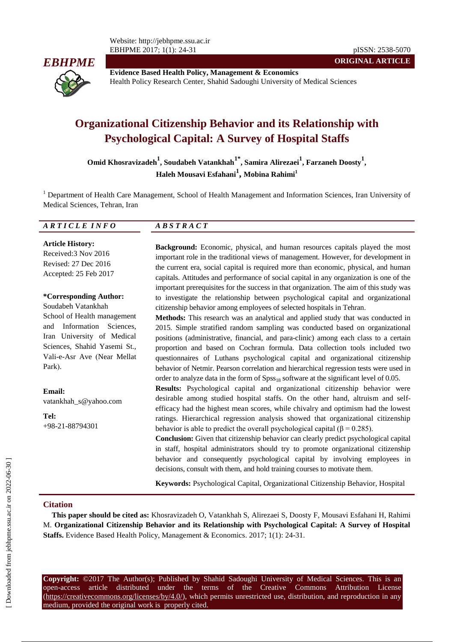

**Evidence Based Health Policy, Management & Economics** Health Policy Research Center, Shahid Sadoughi University of Medical Sciences

# **Organizational Citizenship Behavior and its Relationship with Psychological Capital: A Survey of Hospital Staffs**

**Omid Khosravizadeh<sup>1</sup> , Soudabeh Vatankhah1\* , Samira Alirezaei<sup>1</sup> , Farzaneh Doosty<sup>1</sup> , Haleh Mousavi Esfahani<sup>1</sup> , Mobina Rahimi<sup>1</sup>**

<sup>1</sup> Department of Health Care Management, School of Health Management and Information Sciences, Iran University of Medical Sciences, Tehran, Iran

#### *A R T I C L E I N F O A B S T R A C T*

**Article History:** Received:3 Nov 2016 Revised: 27 Dec 2016 Accepted: 25 Feb 2017

#### **\*Corresponding Author:**

Soudabeh Vatankhah School of Health management and Information Sciences, Iran University of Medical Sciences, Shahid Yasemi St., Vali-e-Asr Ave (Near Mellat Park).

**Email:** vatankhah\_s@yahoo.com

**Tel:** +98-21-88794301 **Background:** Economic, physical, and human resources capitals played the most important role in the traditional views of management. However, for development in the current era, social capital is required more than economic, physical, and human capitals. Attitudes and performance of social capital in any organization is one of the important prerequisites for the success in that organization. The aim of this study was to investigate the relationship between psychological capital and organizational citizenship behavior among employees of selected hospitals in Tehran.

**ORIGINAL ARTICLE**

**Methods:** This research was an analytical and applied study that was conducted in 2015. Simple stratified random sampling was conducted based on organizational positions (administrative, financial, and para-clinic) among each class to a certain proportion and based on Cochran formula. Data collection tools included two questionnaires of Luthans psychological capital and organizational citizenship behavior of Netmir. Pearson correlation and hierarchical regression tests were used in order to analyze data in the form of  $Spss_{18}$  software at the significant level of 0.05.

**Results:** Psychological capital and organizational citizenship behavior were desirable among studied hospital staffs. On the other hand, altruism and selfefficacy had the highest mean scores, while chivalry and optimism had the lowest ratings. Hierarchical regression analysis showed that organizational citizenship behavior is able to predict the overall psychological capital ( $\beta$  = 0.285).

**Conclusion:** Given that citizenship behavior can clearly predict psychological capital in staff, hospital administrators should try to promote organizational citizenship behavior and consequently psychological capital by involving employees in decisions, consult with them, and hold training courses to motivate them.

**Keywords:** Psychological Capital, Organizational Citizenship Behavior, Hospital

#### **Citation**

**This paper should be cited as:** Khosravizadeh O, Vatankhah S, Alirezaei S, Doosty F, Mousavi Esfahani H, Rahimi M. **Organizational Citizenship Behavior and its Relationship with Psychological Capital: A Survey of Hospital Staffs.** Evidence Based Health Policy, Management & Economics. 2017; 1(1): 24-31.

**Copyright:** ©2017 The Author(s); Published by Shahid Sadoughi University of Medical Sciences. This is an open-access article distributed under the terms of the Creative Commons Attribution License (https://creativecommons.org/licenses/by/4.0/), which permits unrestricted use, distribution, and reproduction in any medium, provided the original work is properly cited.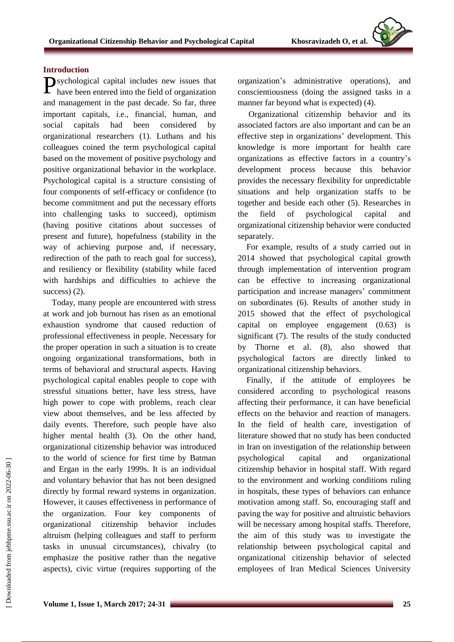## **Introduction**

**P**sychological capital includes new issues that have been entered into the field of organization have been entered into the field of organization and management in the past decade. So far, three important capitals, i.e., financial, human, and social capitals had been considered by organizational researchers (1). Luthans and his colleagues coined the term psychological capital based on the movement of positive psychology and positive organizational behavior in the workplace. Psychological capital is a structure consisting of four components of self-efficacy or confidence (to become commitment and put the necessary efforts into challenging tasks to succeed), optimism (having positive citations about successes of present and future), hopefulness (stability in the way of achieving purpose and, if necessary, redirection of the path to reach goal for success), and resiliency or flexibility (stability while faced with hardships and difficulties to achieve the success) (2).

Today, many people are encountered with stress at work and job burnout has risen as an emotional exhaustion syndrome that caused reduction of professional effectiveness in people. Necessary for the proper operation in such a situation is to create ongoing organizational transformations, both in terms of behavioral and structural aspects. Having psychological capital enables people to cope with stressful situations better, have less stress, have high power to cope with problems, reach clear view about themselves, and be less affected by daily events. Therefore, such people have also higher mental health (3). On the other hand, organizational citizenship behavior was introduced to the world of science for first time by Batman and Ergan in the early 1999s. It is an individual and voluntary behavior that has not been designed directly by formal reward systems in organization. However, it causes effectiveness in performance of the organization. Four key components of organizational citizenship behavior includes altruism (helping colleagues and staff to perform tasks in unusual circumstances), chivalry (to emphasize the positive rather than the negative aspects), civic virtue (requires supporting of the

organization's administrative operations), and conscientiousness (doing the assigned tasks in a manner far beyond what is expected) (4).

Organizational citizenship behavior and its associated factors are also important and can be an effective step in organizations' development. This knowledge is more important for health care organizations as effective factors in a country's development process because this behavior provides the necessary flexibility for unpredictable situations and help organization staffs to be together and beside each other (5). Researches in the field of psychological capital and organizational citizenship behavior were conducted separately.

For example, results of a study carried out in 2014 showed that psychological capital growth through implementation of intervention program can be effective to increasing organizational participation and increase managers' commitment on subordinates (6). Results of another study in 2015 showed that the effect of psychological capital on employee engagement (0.63) is significant (7). The results of the study conducted by Thorne et al. (8), also showed that psychological factors are directly linked to organizational citizenship behaviors.

Finally, if the attitude of employees be considered according to psychological reasons affecting their performance, it can have beneficial effects on the behavior and reaction of managers. In the field of health care, investigation of literature showed that no study has been conducted in Iran on investigation of the relationship between psychological capital and organizational citizenship behavior in hospital staff. With regard to the environment and working conditions ruling in hospitals, these types of behaviors can enhance motivation among staff. So, encouraging staff and paving the way for positive and altruistic behaviors will be necessary among hospital staffs. Therefore, the aim of this study was to investigate the relationship between psychological capital and organizational citizenship behavior of selected employees of Iran Medical Sciences University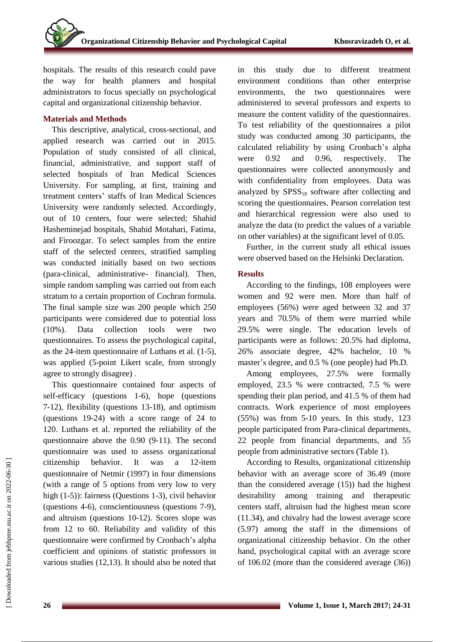hospitals. The results of this research could pave the way for health planners and hospital administrators to focus specially on psychological capital and organizational citizenship behavior.

## **Materials and Methods**

This descriptive, analytical, cross-sectional, and applied research was carried out in 2015. Population of study consisted of all clinical, financial, administrative, and support staff of selected hospitals of Iran Medical Sciences University. For sampling, at first, training and treatment centers' staffs of Iran Medical Sciences University were randomly selected. Accordingly, out of 10 centers, four were selected; Shahid Hasheminejad hospitals, Shahid Motahari, Fatima, and Firoozgar. To select samples from the entire staff of the selected centers, stratified sampling was conducted initially based on two sections (para-clinical, administrative- financial). Then, simple random sampling was carried out from each stratum to a certain proportion of Cochran formula. The final sample size was 200 people which 250 participants were considered due to potential loss (10%). Data collection tools were two questionnaires. To assess the psychological capital, as the 24-item questionnaire of Luthans et al. (1-5), was applied (5-point Likert scale, from strongly agree to strongly disagree) .

This questionnaire contained four aspects of self-efficacy (questions 1-6), hope (questions 7-12), flexibility (questions 13-18), and optimism (questions 19-24) with a score range of 24 to 120. Luthans et al. reported the reliability of the questionnaire above the 0.90 (9-11). The second questionnaire was used to assess organizational citizenship behavior. It was a 12-item questionnaire of Netmir (1997) in four dimensions (with a range of 5 options from very low to very high (1-5)): fairness (Questions 1-3), civil behavior (questions 4-6), conscientiousness (questions 7-9), and altruism (questions 10-12). Scores slope was from 12 to 60. Reliability and validity of this questionnaire were confirmed by Cronbach's alpha coefficient and opinions of statistic professors in various studies (12,13). It should also be noted that in this study due to different treatment environment conditions than other enterprise environments, the two questionnaires were administered to several professors and experts to measure the content validity of the questionnaires. To test reliability of the questionnaires a pilot study was conducted among 30 participants, the calculated reliability by using Cronbach's alpha were 0.92 and 0.96, respectively. The questionnaires were collected anonymously and with confidentiality from employees. Data was analyzed by  $SPSS_{18}$  software after collecting and scoring the questionnaires. Pearson correlation test and hierarchical regression were also used to analyze the data (to predict the values of a variable on other variables) at the significant level of 0.05.

Further, in the current study all ethical issues were observed based on the Helsinki Declaration.

# **Results**

According to the findings, 108 employees were women and 92 were men. More than half of employees (56%) were aged between 32 and 37 years and 70.5% of them were married while 29.5% were single. The education levels of participants were as follows: 20.5% had diploma, 26% associate degree, 42% bachelor, 10 % master's degree, and 0.5 % (one people) had Ph.D.

Among employees, 27.5% were formally employed, 23.5 % were contracted, 7.5 % were spending their plan period, and 41.5 % of them had contracts. Work experience of most employees (55%) was from 5-10 years. In this study, 123 people participated from Para-clinical departments, 22 people from financial departments, and 55 people from administrative sectors (Table 1).

According to Results, organizational citizenship behavior with an average score of 36.49 (more than the considered average (15)) had the highest desirability among training and therapeutic centers staff, altruism had the highest mean score (11.34), and chivalry had the lowest average score (5.97) among the staff in the dimensions of organizational citizenship behavior. On the other hand, psychological capital with an average score of 106.02 (more than the considered average (36))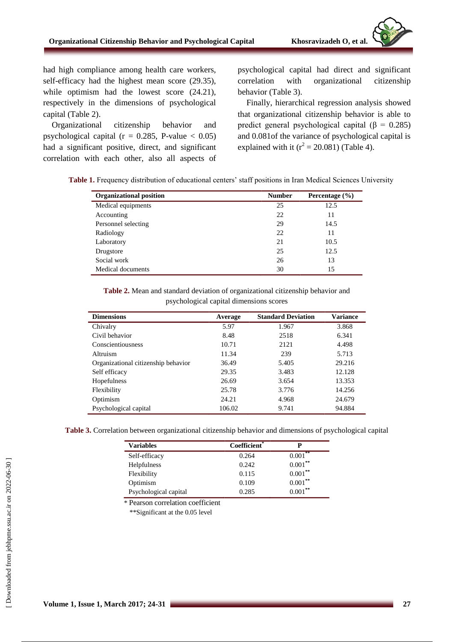had high compliance among health care workers, self-efficacy had the highest mean score (29.35), while optimism had the lowest score  $(24.21)$ , respectively in the dimensions of psychological capital (Table 2).

Organizational citizenship behavior and psychological capital ( $r = 0.285$ , P-value < 0.05) had a significant positive, direct, and significant correlation with each other, also all aspects of psychological capital had direct and significant correlation with organizational citizenship behavior (Table 3).

Finally, hierarchical regression analysis showed that organizational citizenship behavior is able to predict general psychological capital (β = 0.285) and 0.081of the variance of psychological capital is explained with it ( $r^2 = 20.081$ ) (Table 4).

|  | Table 1. Frequency distribution of educational centers' staff positions in Iran Medical Sciences University |  |  |  |  |
|--|-------------------------------------------------------------------------------------------------------------|--|--|--|--|
|  |                                                                                                             |  |  |  |  |

| <b>Organizational position</b> | <b>Number</b> | Percentage $(\% )$ |  |
|--------------------------------|---------------|--------------------|--|
| Medical equipments             | 25            | 12.5               |  |
| Accounting                     | 22            | 11                 |  |
| Personnel selecting            | 29            | 14.5               |  |
| Radiology                      | 22            | 11                 |  |
| Laboratory                     | 21            | 10.5               |  |
| Drugstore                      | 25            | 12.5               |  |
| Social work                    | 26            | 13                 |  |
| Medical documents              | 30            | 15                 |  |

**Table 2.** Mean and standard deviation of organizational citizenship behavior and psychological capital dimensions scores

| <b>Dimensions</b>                   | Average | <b>Standard Deviation</b> | <b>Variance</b> |
|-------------------------------------|---------|---------------------------|-----------------|
| Chivalry                            | 5.97    | 1.967                     | 3.868           |
| Civil behavior                      | 8.48    | 2518                      | 6.341           |
| Conscientiousness                   | 10.71   | 2121                      | 4.498           |
| Altruism                            | 11.34   | 239                       | 5.713           |
| Organizational citizenship behavior | 36.49   | 5.405                     | 29.216          |
| Self efficacy                       | 29.35   | 3.483                     | 12.128          |
| Hopefulness                         | 26.69   | 3.654                     | 13.353          |
| Flexibility                         | 25.78   | 3.776                     | 14.256          |
| Optimism                            | 24.21   | 4.968                     | 24.679          |
| Psychological capital               | 106.02  | 9.741                     | 94.884          |

|  |  |  | Table 3. Correlation between organizational citizenship behavior and dimensions of psychological capital |  |  |  |  |  |  |
|--|--|--|----------------------------------------------------------------------------------------------------------|--|--|--|--|--|--|
|--|--|--|----------------------------------------------------------------------------------------------------------|--|--|--|--|--|--|

| <b>Variables</b>      | Coefficient <sup>*</sup> | D                     |
|-----------------------|--------------------------|-----------------------|
| Self-efficacy         | 0.264                    | $0.001$ <sup>**</sup> |
| Helpfulness           | 0.242                    | $0.001***$            |
| Flexibility           | 0.115                    | $0.001***$            |
| Optimism              | 0.109                    | $0.001***$            |
| Psychological capital | 0.285                    | $0.001***$            |

\* Pearson correlation coefficient

\*\*Significant at the 0.05 level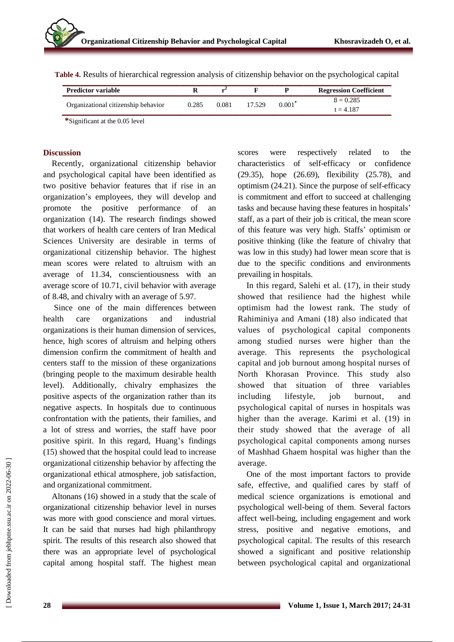| <b>Predictor variable</b>           |       |       |        |           | <b>Regression Coefficient</b>  |
|-------------------------------------|-------|-------|--------|-----------|--------------------------------|
| Organizational citizenship behavior | 0.285 | 0.081 | 17.529 | $0.001^*$ | $\beta = 0.285$<br>$t = 4.187$ |

**Table 4.** Results of hierarchical regression analysis of citizenship behavior on the psychological capital

**\***Significant at the 0.05 level

#### **Discussion**

Recently, organizational citizenship behavior and psychological capital have been identified as two positive behavior features that if rise in an organization's employees, they will develop and promote the positive performance of an organization (14). The research findings showed that workers of health care centers of Iran Medical Sciences University are desirable in terms of organizational citizenship behavior. The highest mean scores were related to altruism with an average of 11.34, conscientiousness with an average score of 10.71, civil behavior with average of 8.48, and chivalry with an average of 5.97.

Since one of the main differences between health care organizations and industrial organizations is their human dimension of services, hence, high scores of altruism and helping others dimension confirm the commitment of health and centers staff to the mission of these organizations (bringing people to the maximum desirable health level). Additionally, chivalry emphasizes the positive aspects of the organization rather than its negative aspects. In hospitals due to continuous confrontation with the patients, their families, and a lot of stress and worries, the staff have poor positive spirit. In this regard, Huang's findings (15) showed that the hospital could lead to increase organizational citizenship behavior by affecting the organizational ethical atmosphere, job satisfaction, and organizational commitment.

Altonans (16) showed in a study that the scale of organizational citizenship behavior level in nurses was more with good conscience and moral virtues. It can be said that nurses had high philanthropy spirit. The results of this research also showed that there was an appropriate level of psychological capital among hospital staff. The highest mean

scores were respectively related to the characteristics of self-efficacy or confidence (29.35), hope (26.69), flexibility (25.78), and optimism (24.21). Since the purpose of self-efficacy is commitment and effort to succeed at challenging tasks and because having these features in hospitals' staff, as a part of their job is critical, the mean score of this feature was very high. Staffs' optimism or positive thinking (like the feature of chivalry that was low in this study) had lower mean score that is due to the specific conditions and environments prevailing in hospitals.

In this regard, Salehi et al. (17), in their study showed that resilience had the highest while optimism had the lowest rank. The study of Rahiminiya and Amani (18) also indicated that values of psychological capital components among studied nurses were higher than the average. This represents the psychological capital and job burnout among hospital nurses of North Khorasan Province. This study also showed that situation of three variables including lifestyle, job burnout, and psychological capital of nurses in hospitals was higher than the average. Karimi et al. (19) in their study showed that the average of all psychological capital components among nurses of Mashhad Ghaem hospital was higher than the average.

One of the most important factors to provide safe, effective, and qualified cares by staff of medical science organizations is emotional and psychological well-being of them. Several factors affect well-being, including engagement and work stress, positive and negative emotions, and psychological capital. The results of this research showed a significant and positive relationship between psychological capital and organizational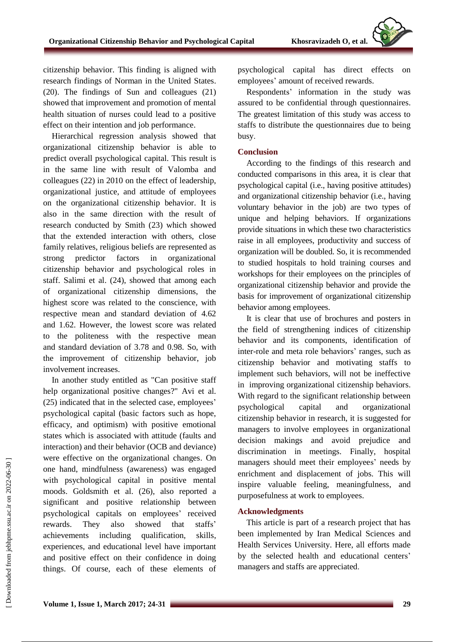citizenship behavior. This finding is aligned with research findings of Norman in the United States. (20). The findings of Sun and colleagues (21) showed that improvement and promotion of mental health situation of nurses could lead to a positive effect on their intention and job performance.

Hierarchical regression analysis showed that organizational citizenship behavior is able to predict overall psychological capital. This result is in the same line with result of Valomba and colleagues (22) in 2010 on the effect of leadership, organizational justice, and attitude of employees on the organizational citizenship behavior. It is also in the same direction with the result of research conducted by Smith (23) which showed that the extended interaction with others, close family relatives, religious beliefs are represented as strong predictor factors in organizational citizenship behavior and psychological roles in staff. Salimi et al. (24), showed that among each of organizational citizenship dimensions, the highest score was related to the conscience, with respective mean and standard deviation of 4.62 and 1.62. However, the lowest score was related to the politeness with the respective mean and standard deviation of 3.78 and 0.98. So, with the improvement of citizenship behavior, job involvement increases.

In another study entitled as "Can positive staff help organizational positive changes?" Avi et al. (25) indicated that in the selected case, employees' psychological capital (basic factors such as hope, efficacy, and optimism) with positive emotional states which is associated with attitude (faults and interaction) and their behavior (OCB and deviance) were effective on the organizational changes. On one hand, mindfulness (awareness) was engaged with psychological capital in positive mental moods. Goldsmith et al. (26), also reported a significant and positive relationship between psychological capitals on employees' received rewards. They also showed that staffs' achievements including qualification, skills, experiences, and educational level have important and positive effect on their confidence in doing things. Of course, each of these elements of psychological capital has direct effects on employees' amount of received rewards.

Respondents' information in the study was assured to be confidential through questionnaires. The greatest limitation of this study was access to staffs to distribute the questionnaires due to being busy.

#### **Conclusion**

According to the findings of this research and conducted comparisons in this area, it is clear that psychological capital (i.e., having positive attitudes) and organizational citizenship behavior (i.e., having voluntary behavior in the job) are two types of unique and helping behaviors. If organizations provide situations in which these two characteristics raise in all employees, productivity and success of organization will be doubled. So, it is recommended to studied hospitals to hold training courses and workshops for their employees on the principles of organizational citizenship behavior and provide the basis for improvement of organizational citizenship behavior among employees.

It is clear that use of brochures and posters in the field of strengthening indices of citizenship behavior and its components, identification of inter-role and meta role behaviors' ranges, such as citizenship behavior and motivating staffs to implement such behaviors, will not be ineffective in improving organizational citizenship behaviors. With regard to the significant relationship between psychological capital and organizational citizenship behavior in research, it is suggested for managers to involve employees in organizational decision makings and avoid prejudice and discrimination in meetings. Finally, hospital managers should meet their employees' needs by enrichment and displacement of jobs. This will inspire valuable feeling, meaningfulness, and purposefulness at work to employees.

## **Acknowledgments**

This article is part of a research project that has been implemented by Iran Medical Sciences and Health Services University. Here, all efforts made by the selected health and educational centers' managers and staffs are appreciated.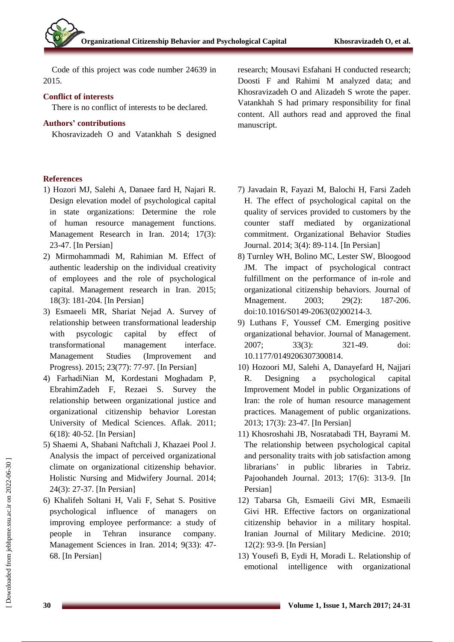Code of this project was code number 24639 in 2015.

#### **Conflict of interests**

There is no conflict of interests to be declared.

### **Authors' contributions**

Khosravizadeh O and Vatankhah S designed

#### **References**

- 1) Hozori MJ, Salehi A, Danaee fard H, Najari R. Design elevation model of psychological capital in state organizations: Determine the role of human resource management functions. Management Research in Iran. 2014; 17(3): 23-47. [In Persian]
- 2) Mirmohammadi M, Rahimian M. Effect of authentic leadership on the individual creativity of employees and the role of psychological capital. Management research in Iran. 2015; 18(3): 181-204. [In Persian]
- 3) Esmaeeli MR, Shariat Nejad A. Survey of relationship between transformational leadership with psycologic capital by effect of transformational management interface. Management Studies (Improvement and Progress). 2015; 23(77): 77-97. [In Persian]
- 4) FarhadiNian M, Kordestani Moghadam P, EbrahimZadeh F, Rezaei S. Survey the relationship between organizational justice and organizational citizenship behavior Lorestan University of Medical Sciences. Aflak. 2011; 6(18): 40-52. [In Persian]
- 5) Shaemi A, Shabani Naftchali J, Khazaei Pool J. Analysis the impact of perceived organizational climate on organizational citizenship behavior. Holistic Nursing and Midwifery Journal. 2014; 24(3): 27-37. [In Persian]
- 6) Khalifeh Soltani H, Vali F, Sehat S. Positive psychological influence of managers on improving employee performance: a study of people in Tehran insurance company. Management Sciences in Iran. 2014; 9(33): 47- 68. [In Persian]

research; Mousavi Esfahani H conducted research; Doosti F and Rahimi M analyzed data; and Khosravizadeh O and Alizadeh S wrote the paper. Vatankhah S had primary responsibility for final content. All authors read and approved the final manuscript.

- 7) Javadain R, Fayazi M, Balochi H, Farsi Zadeh H. The effect of psychological capital on the quality of services provided to customers by the counter staff mediated by organizational commitment. Organizational Behavior Studies Journal. 2014; 3(4): 89-114. [In Persian]
- 8) Turnley WH, Bolino MC, Lester SW, Bloogood JM. The impact of psychological contract fulfillment on the performance of in-role and organizational citizenship behaviors. Journal of Mnagement. 2003; 29(2): 187-206. doi:10.1016/S0149-2063(02)00214-3.
- 9) Luthans F, Youssef CM. Emerging positive organizational behavior. Journal of Management. 2007; 33(3): 321-49. doi: 10.1177/0149206307300814.
- 10) Hozoori MJ, Salehi A, Danayefard H, Najjari R. Designing a psychological capital Improvement Model in public Organizations of Iran: the role of human resource management practices. Management of public organizations. 2013; 17(3): 23-47. [In Persian]
- 11) Khosroshahi JB, Nosratabadi TH, Bayrami M. The relationship between psychological capital and personality traits with job satisfaction among librarians' in public libraries in Tabriz. Pajoohandeh Journal. 2013; 17(6): 313-9. [In Persian]
- 12) Tabarsa Gh, Esmaeili Givi MR, Esmaeili Givi HR. Effective factors on organizational citizenship behavior in a military hospital. Iranian Journal of Military Medicine. 2010; 12(2): 93-9. [In Persian]
- 13) Yousefi B, Eydi H, Moradi L. Relationship of emotional intelligence with organizational